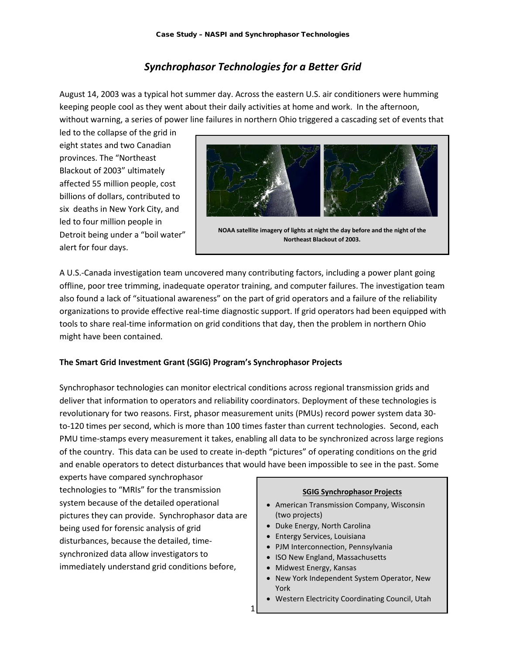# *Synchrophasor Technologies for a Better Grid*

August 14, 2003 was a typical hot summer day. Across the eastern U.S. air conditioners were humming keeping people cool as they went about their daily activities at home and work. In the afternoon, without warning, a series of power line failures in northern Ohio triggered a cascading set of events that

led to the collapse of the grid in eight states and two Canadian provinces. The "Northeast Blackout of 2003" ultimately affected 55 million people, cost billions of dollars, contributed to six deaths in New York City, and led to four million people in Detroit being under a "boil water" alert for four days.



**[NOAA](http://en.wikipedia.org/wiki/NOAA) satellite imagery of lights at night the day before and the night of the Northeast Blackout of 2003.**

A U.S.-Canada investigation team uncovered many contributing factors, including a power plant going offline, poor tree trimming, inadequate operator training, and computer failures. The investigation team also found a lack of "situational awareness" on the part of grid operators and a failure of the reliability organizations to provide effective real-time diagnostic support. If grid operators had been equipped with tools to share real-time information on grid conditions that day, then the problem in northern Ohio might have been contained.

### **The Smart Grid Investment Grant (SGIG) Program's Synchrophasor Projects**

Synchrophasor technologies can monitor electrical conditions across regional transmission grids and deliver that information to operators and reliability coordinators. Deployment of these technologies is revolutionary for two reasons. First, phasor measurement units (PMUs) record power system data 30 to-120 times per second, which is more than 100 times faster than current technologies. Second, each PMU time-stamps every measurement it takes, enabling all data to be synchronized across large regions of the country. This data can be used to create in-depth "pictures" of operating conditions on the grid and enable operators to detect disturbances that would have been impossible to see in the past. Some

1

experts have compared synchrophasor technologies to "MRIs" for the transmission system because of the detailed operational pictures they can provide. Synchrophasor data are being used for forensic analysis of grid disturbances, because the detailed, timesynchronized data allow investigators to immediately understand grid conditions before,

#### **SGIG Synchrophasor Projects**

- American Transmission Company, Wisconsin (two projects)
- Duke Energy, North Carolina
- Entergy Services, Louisiana
- PJM Interconnection, Pennsylvania
- ISO New England, Massachusetts
- Midwest Energy, Kansas
- New York Independent System Operator, New York
- Western Electricity Coordinating Council, Utah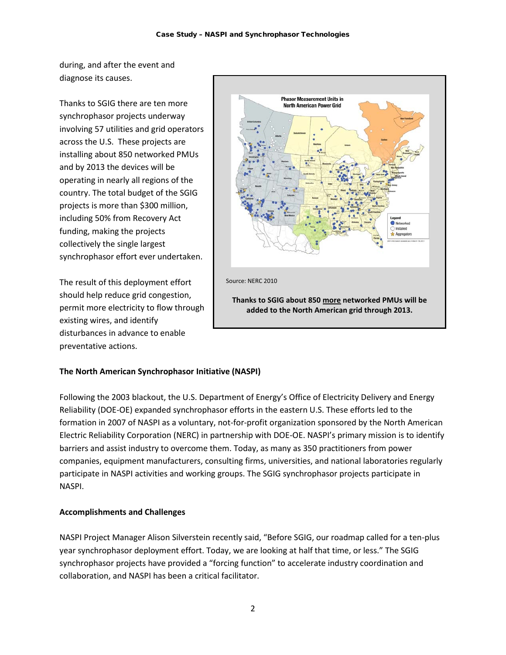during, and after the event and diagnose its causes.

Thanks to SGIG there are ten more synchrophasor projects underway involving 57 utilities and grid operators across the U.S. These projects are installing about 850 networked PMUs and by 2013 the devices will be operating in nearly all regions of the country. The total budget of the SGIG projects is more than \$300 million, including 50% from Recovery Act funding, making the projects collectively the single largest synchrophasor effort ever undertaken.

The result of this deployment effort should help reduce grid congestion, permit more electricity to flow through existing wires, and identify disturbances in advance to enable preventative actions.



# **The North American Synchrophasor Initiative (NASPI)**

Following the 2003 blackout, the U.S. Department of Energy's Office of Electricity Delivery and Energy Reliability (DOE-OE) expanded synchrophasor efforts in the eastern U.S. These efforts led to the formation in 2007 of NASPI as a voluntary, not-for-profit organization sponsored by the North American Electric Reliability Corporation (NERC) in partnership with DOE-OE. NASPI's primary mission is to identify barriers and assist industry to overcome them. Today, as many as 350 practitioners from power companies, equipment manufacturers, consulting firms, universities, and national laboratories regularly participate in NASPI activities and working groups. The SGIG synchrophasor projects participate in NASPI.

## **Accomplishments and Challenges**

NASPI Project Manager Alison Silverstein recently said, "Before SGIG, our roadmap called for a ten-plus year synchrophasor deployment effort. Today, we are looking at half that time, or less." The SGIG synchrophasor projects have provided a "forcing function" to accelerate industry coordination and collaboration, and NASPI has been a critical facilitator.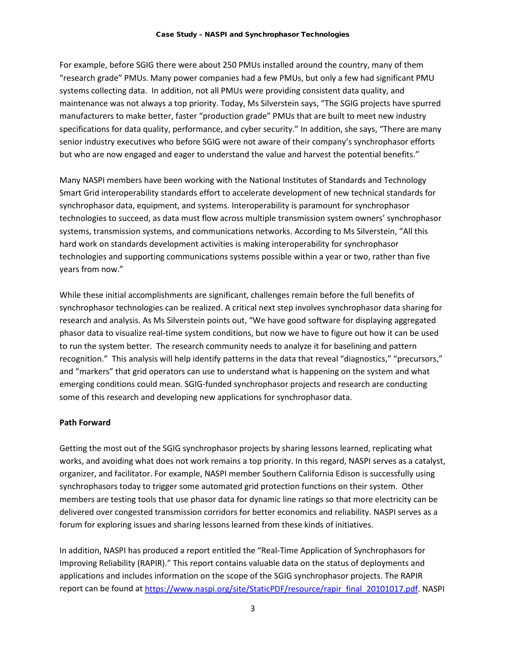For example, before SGIG there were about 250 PMUs installed around the country, many of them "research grade" PMUs. Many power companies had a few PMUs, but only a few had significant PMU systems collecting data. In addition, not all PMUs were providing consistent data quality, and maintenance was not always a top priority. Today, Ms Silverstein says, "The SGIG projects have spurred manufacturers to make better, faster "production grade" PMUs that are built to meet new industry specifications for data quality, performance, and cyber security." In addition, she says, "There are many senior industry executives who before SGIG were not aware of their company's synchrophasor efforts but who are now engaged and eager to understand the value and harvest the potential benefits."

Many NASPI members have been working with the National Institutes of Standards and Technology Smart Grid interoperability standards effort to accelerate development of new technical standards for synchrophasor data, equipment, and systems. Interoperability is paramount for synchrophasor technologies to succeed, as data must flow across multiple transmission system owners' synchrophasor systems, transmission systems, and communications networks. According to Ms Silverstein, "All this hard work on standards development activities is making interoperability for synchrophasor technologies and supporting communications systems possible within a year or two, rather than five years from now."

While these initial accomplishments are significant, challenges remain before the full benefits of synchrophasor technologies can be realized. A critical next step involves synchrophasor data sharing for research and analysis. As Ms Silverstein points out, "We have good software for displaying aggregated phasor data to visualize real-time system conditions, but now we have to figure out how it can be used to run the system better. The research community needs to analyze it for baselining and pattern recognition." This analysis will help identify patterns in the data that reveal "diagnostics," "precursors," and "markers" that grid operators can use to understand what is happening on the system and what emerging conditions could mean. SGIG-funded synchrophasor projects and research are conducting some of this research and developing new applications for synchrophasor data.

### **Path Forward**

Getting the most out of the SGIG synchrophasor projects by sharing lessons learned, replicating what works, and avoiding what does not work remains a top priority. In this regard, NASPI serves as a catalyst, organizer, and facilitator. For example, NASPI member Southern California Edison is successfully using synchrophasors today to trigger some automated grid protection functions on their system. Other members are testing tools that use phasor data for dynamic line ratings so that more electricity can be delivered over congested transmission corridors for better economics and reliability. NASPI serves as a forum for exploring issues and sharing lessons learned from these kinds of initiatives.

In addition, NASPI has produced a report entitled the "Real-Time Application of Synchrophasors for Improving Reliability (RAPIR)." This report contains valuable data on the status of deployments and applications and includes information on the scope of the SGIG synchrophasor projects. The RAPIR report can be found at [https://www.naspi.org/site/StaticPDF/resource/rapir\\_final\\_20101017.pdf.](https://www.naspi.org/site/StaticPDF/resource/rapir_final_20101017.pdf) NASPI